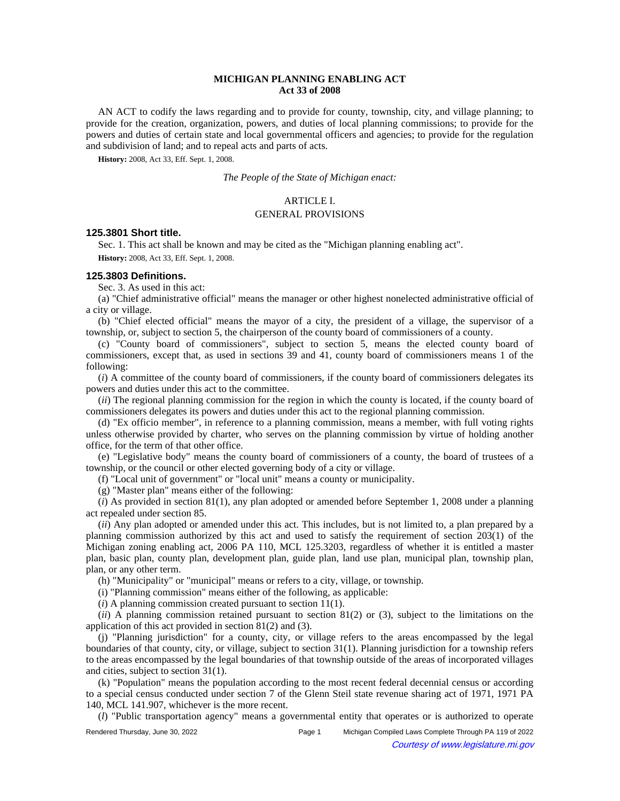# **MICHIGAN PLANNING ENABLING ACT Act 33 of 2008**

AN ACT to codify the laws regarding and to provide for county, township, city, and village planning; to provide for the creation, organization, powers, and duties of local planning commissions; to provide for the powers and duties of certain state and local governmental officers and agencies; to provide for the regulation and subdivision of land; and to repeal acts and parts of acts.

**History:** 2008, Act 33, Eff. Sept. 1, 2008.

*The People of the State of Michigan enact:*

### ARTICLE I.

#### GENERAL PROVISIONS

### **125.3801 Short title.**

Sec. 1. This act shall be known and may be cited as the "Michigan planning enabling act". **History:** 2008, Act 33, Eff. Sept. 1, 2008.

#### **125.3803 Definitions.**

Sec. 3. As used in this act:

(a) "Chief administrative official" means the manager or other highest nonelected administrative official of a city or village.

(b) "Chief elected official" means the mayor of a city, the president of a village, the supervisor of a township, or, subject to section 5, the chairperson of the county board of commissioners of a county.

(c) "County board of commissioners", subject to section 5, means the elected county board of commissioners, except that, as used in sections 39 and 41, county board of commissioners means 1 of the following:

(*i*) A committee of the county board of commissioners, if the county board of commissioners delegates its powers and duties under this act to the committee.

(*ii*) The regional planning commission for the region in which the county is located, if the county board of commissioners delegates its powers and duties under this act to the regional planning commission.

(d) "Ex officio member", in reference to a planning commission, means a member, with full voting rights unless otherwise provided by charter, who serves on the planning commission by virtue of holding another office, for the term of that other office.

(e) "Legislative body" means the county board of commissioners of a county, the board of trustees of a township, or the council or other elected governing body of a city or village.

(f) "Local unit of government" or "local unit" means a county or municipality.

(g) "Master plan" means either of the following:

(*i*) As provided in section 81(1), any plan adopted or amended before September 1, 2008 under a planning act repealed under section 85.

(*ii*) Any plan adopted or amended under this act. This includes, but is not limited to, a plan prepared by a planning commission authorized by this act and used to satisfy the requirement of section 203(1) of the Michigan zoning enabling act, 2006 PA 110, MCL 125.3203, regardless of whether it is entitled a master plan, basic plan, county plan, development plan, guide plan, land use plan, municipal plan, township plan, plan, or any other term.

(h) "Municipality" or "municipal" means or refers to a city, village, or township.

(i) "Planning commission" means either of the following, as applicable:

(*i*) A planning commission created pursuant to section 11(1).

(*ii*) A planning commission retained pursuant to section 81(2) or (3), subject to the limitations on the application of this act provided in section 81(2) and (3).

(j) "Planning jurisdiction" for a county, city, or village refers to the areas encompassed by the legal boundaries of that county, city, or village, subject to section 31(1). Planning jurisdiction for a township refers to the areas encompassed by the legal boundaries of that township outside of the areas of incorporated villages and cities, subject to section 31(1).

(k) "Population" means the population according to the most recent federal decennial census or according to a special census conducted under section 7 of the Glenn Steil state revenue sharing act of 1971, 1971 PA 140, MCL 141.907, whichever is the more recent.

(*l*) "Public transportation agency" means a governmental entity that operates or is authorized to operate

Rendered Thursday, June 30, 2022 Page 1 Michigan Compiled Laws Complete Through PA 119 of 2022 Courtesy of www.legislature.mi.gov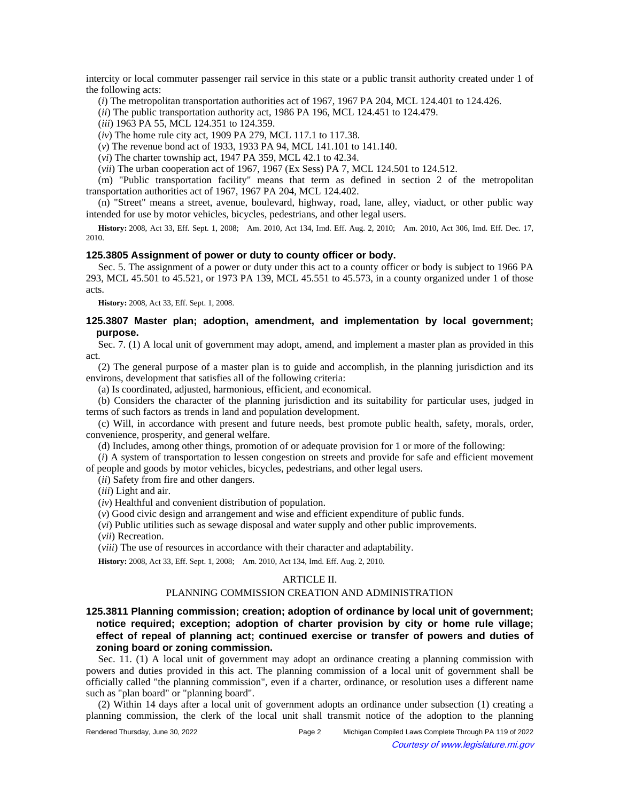intercity or local commuter passenger rail service in this state or a public transit authority created under 1 of the following acts:

(*i*) The metropolitan transportation authorities act of 1967, 1967 PA 204, MCL 124.401 to 124.426.

(*ii*) The public transportation authority act, 1986 PA 196, MCL 124.451 to 124.479.

(*iii*) 1963 PA 55, MCL 124.351 to 124.359.

(*iv*) The home rule city act, 1909 PA 279, MCL 117.1 to 117.38.

(*v*) The revenue bond act of 1933, 1933 PA 94, MCL 141.101 to 141.140.

(*vi*) The charter township act, 1947 PA 359, MCL 42.1 to 42.34.

(*vii*) The urban cooperation act of 1967, 1967 (Ex Sess) PA 7, MCL 124.501 to 124.512.

(m) "Public transportation facility" means that term as defined in section 2 of the metropolitan transportation authorities act of 1967, 1967 PA 204, MCL 124.402.

(n) "Street" means a street, avenue, boulevard, highway, road, lane, alley, viaduct, or other public way intended for use by motor vehicles, bicycles, pedestrians, and other legal users.

History: 2008, Act 33, Eff. Sept. 1, 2008;—Am. 2010, Act 134, Imd. Eff. Aug. 2, 2010;—Am. 2010, Act 306, Imd. Eff. Dec. 17, 2010.

### **125.3805 Assignment of power or duty to county officer or body.**

Sec. 5. The assignment of a power or duty under this act to a county officer or body is subject to 1966 PA 293, MCL 45.501 to 45.521, or 1973 PA 139, MCL 45.551 to 45.573, in a county organized under 1 of those acts.

**History:** 2008, Act 33, Eff. Sept. 1, 2008.

### **125.3807 Master plan; adoption, amendment, and implementation by local government; purpose.**

Sec. 7. (1) A local unit of government may adopt, amend, and implement a master plan as provided in this act.

(2) The general purpose of a master plan is to guide and accomplish, in the planning jurisdiction and its environs, development that satisfies all of the following criteria:

(a) Is coordinated, adjusted, harmonious, efficient, and economical.

(b) Considers the character of the planning jurisdiction and its suitability for particular uses, judged in terms of such factors as trends in land and population development.

(c) Will, in accordance with present and future needs, best promote public health, safety, morals, order, convenience, prosperity, and general welfare.

(d) Includes, among other things, promotion of or adequate provision for 1 or more of the following:

(*i*) A system of transportation to lessen congestion on streets and provide for safe and efficient movement of people and goods by motor vehicles, bicycles, pedestrians, and other legal users.

(*ii*) Safety from fire and other dangers.

(*iii*) Light and air.

(*iv*) Healthful and convenient distribution of population.

(*v*) Good civic design and arrangement and wise and efficient expenditure of public funds.

(*vi*) Public utilities such as sewage disposal and water supply and other public improvements.

(*vii*) Recreation.

(*viii*) The use of resources in accordance with their character and adaptability.

History: 2008, Act 33, Eff. Sept. 1, 2008;- Am. 2010, Act 134, Imd. Eff. Aug. 2, 2010.

# ARTICLE II.

### PLANNING COMMISSION CREATION AND ADMINISTRATION

# **125.3811 Planning commission; creation; adoption of ordinance by local unit of government; notice required; exception; adoption of charter provision by city or home rule village; effect of repeal of planning act; continued exercise or transfer of powers and duties of zoning board or zoning commission.**

Sec. 11. (1) A local unit of government may adopt an ordinance creating a planning commission with powers and duties provided in this act. The planning commission of a local unit of government shall be officially called "the planning commission", even if a charter, ordinance, or resolution uses a different name such as "plan board" or "planning board".

(2) Within 14 days after a local unit of government adopts an ordinance under subsection (1) creating a planning commission, the clerk of the local unit shall transmit notice of the adoption to the planning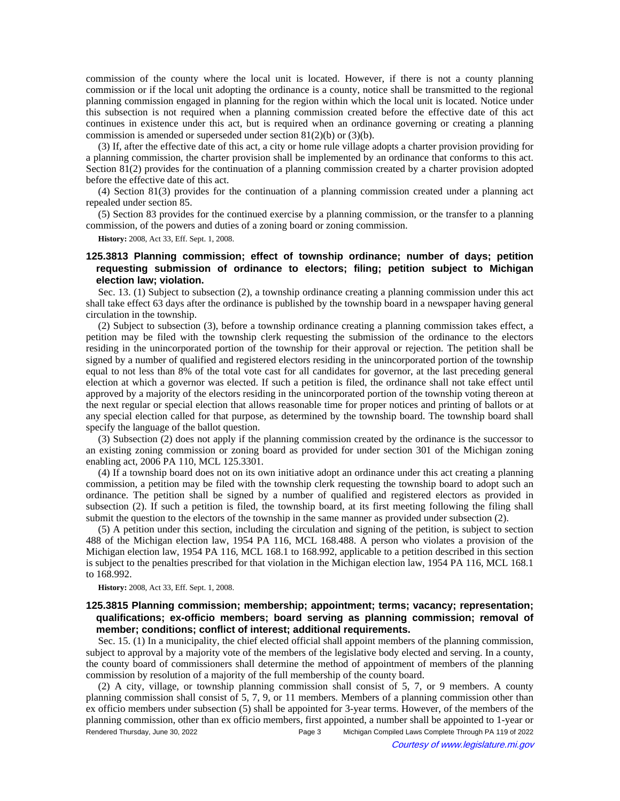commission of the county where the local unit is located. However, if there is not a county planning commission or if the local unit adopting the ordinance is a county, notice shall be transmitted to the regional planning commission engaged in planning for the region within which the local unit is located. Notice under this subsection is not required when a planning commission created before the effective date of this act continues in existence under this act, but is required when an ordinance governing or creating a planning commission is amended or superseded under section 81(2)(b) or (3)(b).

(3) If, after the effective date of this act, a city or home rule village adopts a charter provision providing for a planning commission, the charter provision shall be implemented by an ordinance that conforms to this act. Section 81(2) provides for the continuation of a planning commission created by a charter provision adopted before the effective date of this act.

(4) Section 81(3) provides for the continuation of a planning commission created under a planning act repealed under section 85.

(5) Section 83 provides for the continued exercise by a planning commission, or the transfer to a planning commission, of the powers and duties of a zoning board or zoning commission.

**History:** 2008, Act 33, Eff. Sept. 1, 2008.

# **125.3813 Planning commission; effect of township ordinance; number of days; petition requesting submission of ordinance to electors; filing; petition subject to Michigan election law; violation.**

Sec. 13. (1) Subject to subsection (2), a township ordinance creating a planning commission under this act shall take effect 63 days after the ordinance is published by the township board in a newspaper having general circulation in the township.

(2) Subject to subsection (3), before a township ordinance creating a planning commission takes effect, a petition may be filed with the township clerk requesting the submission of the ordinance to the electors residing in the unincorporated portion of the township for their approval or rejection. The petition shall be signed by a number of qualified and registered electors residing in the unincorporated portion of the township equal to not less than 8% of the total vote cast for all candidates for governor, at the last preceding general election at which a governor was elected. If such a petition is filed, the ordinance shall not take effect until approved by a majority of the electors residing in the unincorporated portion of the township voting thereon at the next regular or special election that allows reasonable time for proper notices and printing of ballots or at any special election called for that purpose, as determined by the township board. The township board shall specify the language of the ballot question.

(3) Subsection (2) does not apply if the planning commission created by the ordinance is the successor to an existing zoning commission or zoning board as provided for under section 301 of the Michigan zoning enabling act, 2006 PA 110, MCL 125.3301.

(4) If a township board does not on its own initiative adopt an ordinance under this act creating a planning commission, a petition may be filed with the township clerk requesting the township board to adopt such an ordinance. The petition shall be signed by a number of qualified and registered electors as provided in subsection (2). If such a petition is filed, the township board, at its first meeting following the filing shall submit the question to the electors of the township in the same manner as provided under subsection (2).

(5) A petition under this section, including the circulation and signing of the petition, is subject to section 488 of the Michigan election law, 1954 PA 116, MCL 168.488. A person who violates a provision of the Michigan election law, 1954 PA 116, MCL 168.1 to 168.992, applicable to a petition described in this section is subject to the penalties prescribed for that violation in the Michigan election law, 1954 PA 116, MCL 168.1 to 168.992.

**History:** 2008, Act 33, Eff. Sept. 1, 2008.

## **125.3815 Planning commission; membership; appointment; terms; vacancy; representation; qualifications; ex-officio members; board serving as planning commission; removal of member; conditions; conflict of interest; additional requirements.**

Sec. 15. (1) In a municipality, the chief elected official shall appoint members of the planning commission, subject to approval by a majority vote of the members of the legislative body elected and serving. In a county, the county board of commissioners shall determine the method of appointment of members of the planning commission by resolution of a majority of the full membership of the county board.

(2) A city, village, or township planning commission shall consist of 5, 7, or 9 members. A county planning commission shall consist of 5, 7, 9, or 11 members. Members of a planning commission other than ex officio members under subsection (5) shall be appointed for 3-year terms. However, of the members of the planning commission, other than ex officio members, first appointed, a number shall be appointed to 1-year or Rendered Thursday, June 30, 2022 Page 3 Michigan Compiled Laws Complete Through PA 119 of 2022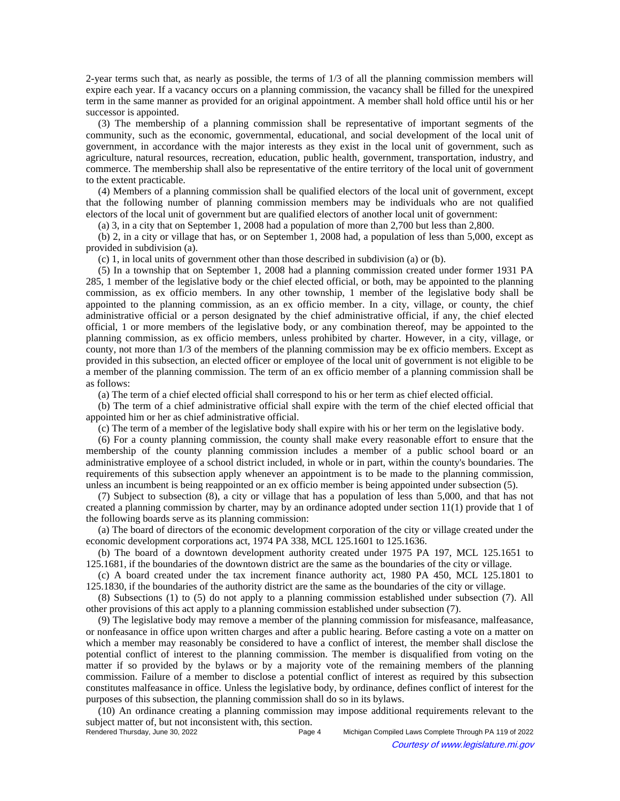2-year terms such that, as nearly as possible, the terms of 1/3 of all the planning commission members will expire each year. If a vacancy occurs on a planning commission, the vacancy shall be filled for the unexpired term in the same manner as provided for an original appointment. A member shall hold office until his or her successor is appointed.

(3) The membership of a planning commission shall be representative of important segments of the community, such as the economic, governmental, educational, and social development of the local unit of government, in accordance with the major interests as they exist in the local unit of government, such as agriculture, natural resources, recreation, education, public health, government, transportation, industry, and commerce. The membership shall also be representative of the entire territory of the local unit of government to the extent practicable.

(4) Members of a planning commission shall be qualified electors of the local unit of government, except that the following number of planning commission members may be individuals who are not qualified electors of the local unit of government but are qualified electors of another local unit of government:

(a) 3, in a city that on September 1, 2008 had a population of more than 2,700 but less than 2,800.

(b) 2, in a city or village that has, or on September 1, 2008 had, a population of less than 5,000, except as provided in subdivision (a).

(c) 1, in local units of government other than those described in subdivision (a) or (b).

(5) In a township that on September 1, 2008 had a planning commission created under former 1931 PA 285, 1 member of the legislative body or the chief elected official, or both, may be appointed to the planning commission, as ex officio members. In any other township, 1 member of the legislative body shall be appointed to the planning commission, as an ex officio member. In a city, village, or county, the chief administrative official or a person designated by the chief administrative official, if any, the chief elected official, 1 or more members of the legislative body, or any combination thereof, may be appointed to the planning commission, as ex officio members, unless prohibited by charter. However, in a city, village, or county, not more than 1/3 of the members of the planning commission may be ex officio members. Except as provided in this subsection, an elected officer or employee of the local unit of government is not eligible to be a member of the planning commission. The term of an ex officio member of a planning commission shall be as follows:

(a) The term of a chief elected official shall correspond to his or her term as chief elected official.

(b) The term of a chief administrative official shall expire with the term of the chief elected official that appointed him or her as chief administrative official.

(c) The term of a member of the legislative body shall expire with his or her term on the legislative body.

(6) For a county planning commission, the county shall make every reasonable effort to ensure that the membership of the county planning commission includes a member of a public school board or an administrative employee of a school district included, in whole or in part, within the county's boundaries. The requirements of this subsection apply whenever an appointment is to be made to the planning commission, unless an incumbent is being reappointed or an ex officio member is being appointed under subsection (5).

(7) Subject to subsection (8), a city or village that has a population of less than 5,000, and that has not created a planning commission by charter, may by an ordinance adopted under section 11(1) provide that 1 of the following boards serve as its planning commission:

(a) The board of directors of the economic development corporation of the city or village created under the economic development corporations act, 1974 PA 338, MCL 125.1601 to 125.1636.

(b) The board of a downtown development authority created under 1975 PA 197, MCL 125.1651 to 125.1681, if the boundaries of the downtown district are the same as the boundaries of the city or village.

(c) A board created under the tax increment finance authority act, 1980 PA 450, MCL 125.1801 to 125.1830, if the boundaries of the authority district are the same as the boundaries of the city or village.

(8) Subsections (1) to (5) do not apply to a planning commission established under subsection (7). All other provisions of this act apply to a planning commission established under subsection (7).

(9) The legislative body may remove a member of the planning commission for misfeasance, malfeasance, or nonfeasance in office upon written charges and after a public hearing. Before casting a vote on a matter on which a member may reasonably be considered to have a conflict of interest, the member shall disclose the potential conflict of interest to the planning commission. The member is disqualified from voting on the matter if so provided by the bylaws or by a majority vote of the remaining members of the planning commission. Failure of a member to disclose a potential conflict of interest as required by this subsection constitutes malfeasance in office. Unless the legislative body, by ordinance, defines conflict of interest for the purposes of this subsection, the planning commission shall do so in its bylaws.

(10) An ordinance creating a planning commission may impose additional requirements relevant to the subject matter of, but not inconsistent with, this section.<br>Rendered Thursday, June 30, 2022

Michigan Compiled Laws Complete Through PA 119 of 2022 Courtesy of www.legislature.mi.gov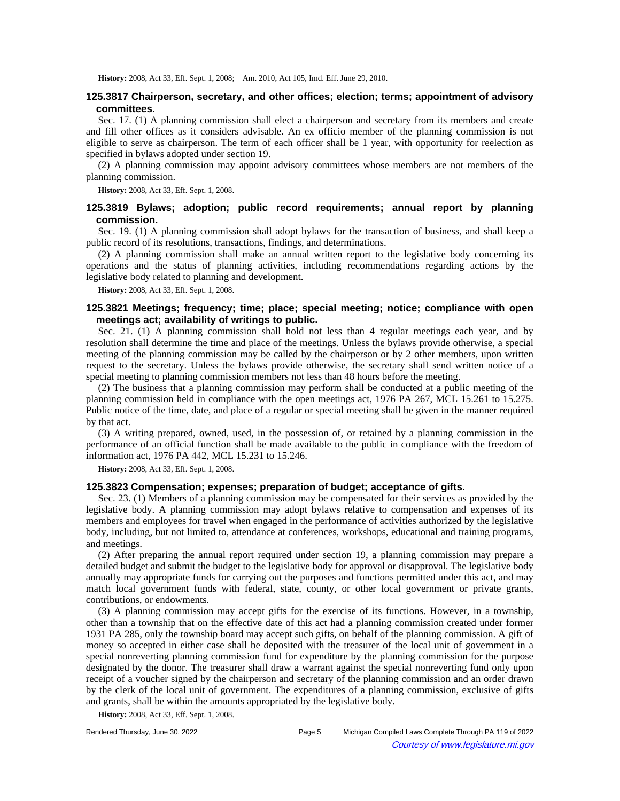History: 2008, Act 33, Eff. Sept. 1, 2008;-Am. 2010, Act 105, Imd. Eff. June 29, 2010.

# **125.3817 Chairperson, secretary, and other offices; election; terms; appointment of advisory committees.**

Sec. 17. (1) A planning commission shall elect a chairperson and secretary from its members and create and fill other offices as it considers advisable. An ex officio member of the planning commission is not eligible to serve as chairperson. The term of each officer shall be 1 year, with opportunity for reelection as specified in bylaws adopted under section 19.

(2) A planning commission may appoint advisory committees whose members are not members of the planning commission.

**History:** 2008, Act 33, Eff. Sept. 1, 2008.

## **125.3819 Bylaws; adoption; public record requirements; annual report by planning commission.**

Sec. 19. (1) A planning commission shall adopt bylaws for the transaction of business, and shall keep a public record of its resolutions, transactions, findings, and determinations.

(2) A planning commission shall make an annual written report to the legislative body concerning its operations and the status of planning activities, including recommendations regarding actions by the legislative body related to planning and development.

**History:** 2008, Act 33, Eff. Sept. 1, 2008.

## **125.3821 Meetings; frequency; time; place; special meeting; notice; compliance with open meetings act; availability of writings to public.**

Sec. 21. (1) A planning commission shall hold not less than 4 regular meetings each year, and by resolution shall determine the time and place of the meetings. Unless the bylaws provide otherwise, a special meeting of the planning commission may be called by the chairperson or by 2 other members, upon written request to the secretary. Unless the bylaws provide otherwise, the secretary shall send written notice of a special meeting to planning commission members not less than 48 hours before the meeting.

(2) The business that a planning commission may perform shall be conducted at a public meeting of the planning commission held in compliance with the open meetings act, 1976 PA 267, MCL 15.261 to 15.275. Public notice of the time, date, and place of a regular or special meeting shall be given in the manner required by that act.

(3) A writing prepared, owned, used, in the possession of, or retained by a planning commission in the performance of an official function shall be made available to the public in compliance with the freedom of information act, 1976 PA 442, MCL 15.231 to 15.246.

**History:** 2008, Act 33, Eff. Sept. 1, 2008.

#### **125.3823 Compensation; expenses; preparation of budget; acceptance of gifts.**

Sec. 23. (1) Members of a planning commission may be compensated for their services as provided by the legislative body. A planning commission may adopt bylaws relative to compensation and expenses of its members and employees for travel when engaged in the performance of activities authorized by the legislative body, including, but not limited to, attendance at conferences, workshops, educational and training programs, and meetings.

(2) After preparing the annual report required under section 19, a planning commission may prepare a detailed budget and submit the budget to the legislative body for approval or disapproval. The legislative body annually may appropriate funds for carrying out the purposes and functions permitted under this act, and may match local government funds with federal, state, county, or other local government or private grants, contributions, or endowments.

(3) A planning commission may accept gifts for the exercise of its functions. However, in a township, other than a township that on the effective date of this act had a planning commission created under former 1931 PA 285, only the township board may accept such gifts, on behalf of the planning commission. A gift of money so accepted in either case shall be deposited with the treasurer of the local unit of government in a special nonreverting planning commission fund for expenditure by the planning commission for the purpose designated by the donor. The treasurer shall draw a warrant against the special nonreverting fund only upon receipt of a voucher signed by the chairperson and secretary of the planning commission and an order drawn by the clerk of the local unit of government. The expenditures of a planning commission, exclusive of gifts and grants, shall be within the amounts appropriated by the legislative body.

**History:** 2008, Act 33, Eff. Sept. 1, 2008.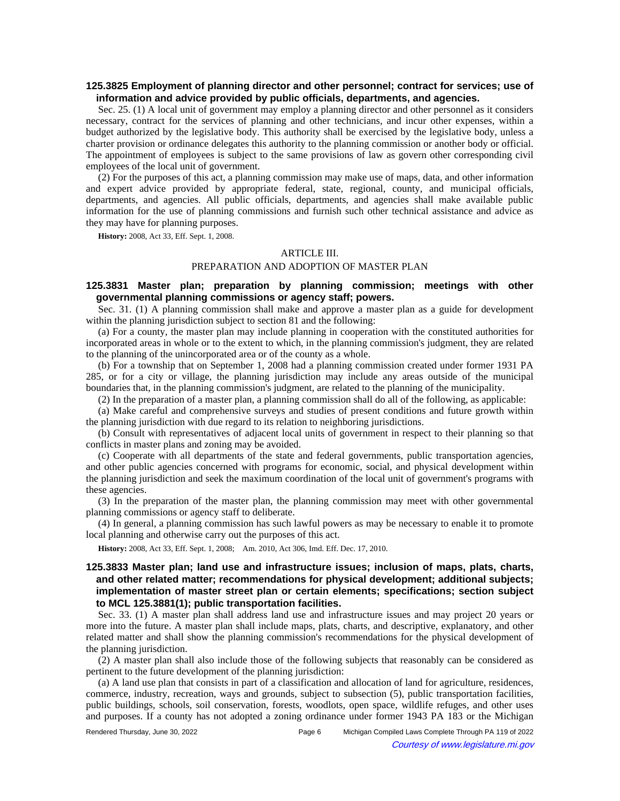## **125.3825 Employment of planning director and other personnel; contract for services; use of information and advice provided by public officials, departments, and agencies.**

Sec. 25. (1) A local unit of government may employ a planning director and other personnel as it considers necessary, contract for the services of planning and other technicians, and incur other expenses, within a budget authorized by the legislative body. This authority shall be exercised by the legislative body, unless a charter provision or ordinance delegates this authority to the planning commission or another body or official. The appointment of employees is subject to the same provisions of law as govern other corresponding civil employees of the local unit of government.

(2) For the purposes of this act, a planning commission may make use of maps, data, and other information and expert advice provided by appropriate federal, state, regional, county, and municipal officials, departments, and agencies. All public officials, departments, and agencies shall make available public information for the use of planning commissions and furnish such other technical assistance and advice as they may have for planning purposes.

**History:** 2008, Act 33, Eff. Sept. 1, 2008.

#### ARTICLE III.

#### PREPARATION AND ADOPTION OF MASTER PLAN

## **125.3831 Master plan; preparation by planning commission; meetings with other governmental planning commissions or agency staff; powers.**

Sec. 31. (1) A planning commission shall make and approve a master plan as a guide for development within the planning jurisdiction subject to section 81 and the following:

(a) For a county, the master plan may include planning in cooperation with the constituted authorities for incorporated areas in whole or to the extent to which, in the planning commission's judgment, they are related to the planning of the unincorporated area or of the county as a whole.

(b) For a township that on September 1, 2008 had a planning commission created under former 1931 PA 285, or for a city or village, the planning jurisdiction may include any areas outside of the municipal boundaries that, in the planning commission's judgment, are related to the planning of the municipality.

(2) In the preparation of a master plan, a planning commission shall do all of the following, as applicable:

(a) Make careful and comprehensive surveys and studies of present conditions and future growth within the planning jurisdiction with due regard to its relation to neighboring jurisdictions.

(b) Consult with representatives of adjacent local units of government in respect to their planning so that conflicts in master plans and zoning may be avoided.

(c) Cooperate with all departments of the state and federal governments, public transportation agencies, and other public agencies concerned with programs for economic, social, and physical development within the planning jurisdiction and seek the maximum coordination of the local unit of government's programs with these agencies.

(3) In the preparation of the master plan, the planning commission may meet with other governmental planning commissions or agency staff to deliberate.

(4) In general, a planning commission has such lawful powers as may be necessary to enable it to promote local planning and otherwise carry out the purposes of this act.

History: 2008, Act 33, Eff. Sept. 1, 2008;-Am. 2010, Act 306, Imd. Eff. Dec. 17, 2010.

# **125.3833 Master plan; land use and infrastructure issues; inclusion of maps, plats, charts, and other related matter; recommendations for physical development; additional subjects; implementation of master street plan or certain elements; specifications; section subject to MCL 125.3881(1); public transportation facilities.**

Sec. 33. (1) A master plan shall address land use and infrastructure issues and may project 20 years or more into the future. A master plan shall include maps, plats, charts, and descriptive, explanatory, and other related matter and shall show the planning commission's recommendations for the physical development of the planning jurisdiction.

(2) A master plan shall also include those of the following subjects that reasonably can be considered as pertinent to the future development of the planning jurisdiction:

(a) A land use plan that consists in part of a classification and allocation of land for agriculture, residences, commerce, industry, recreation, ways and grounds, subject to subsection (5), public transportation facilities, public buildings, schools, soil conservation, forests, woodlots, open space, wildlife refuges, and other uses and purposes. If a county has not adopted a zoning ordinance under former 1943 PA 183 or the Michigan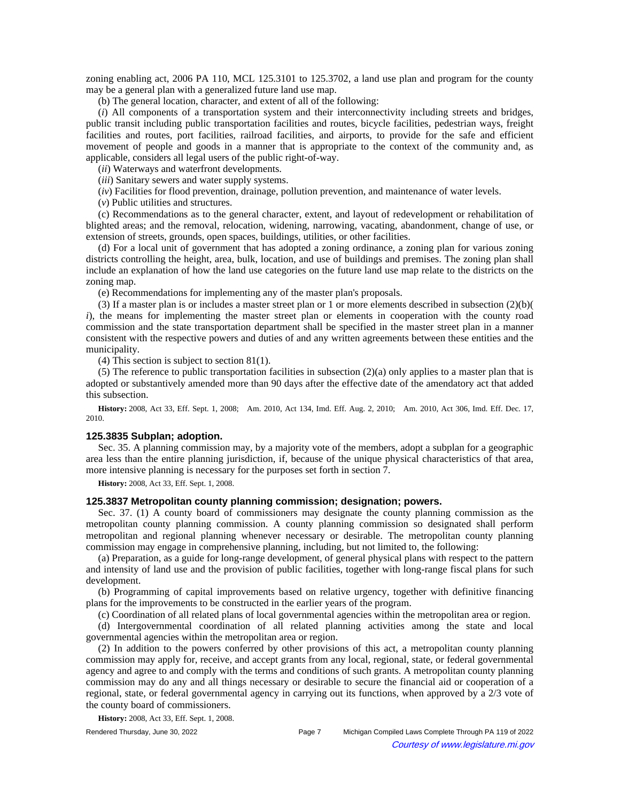zoning enabling act, 2006 PA 110, MCL 125.3101 to 125.3702, a land use plan and program for the county may be a general plan with a generalized future land use map.

(b) The general location, character, and extent of all of the following:

(*i*) All components of a transportation system and their interconnectivity including streets and bridges, public transit including public transportation facilities and routes, bicycle facilities, pedestrian ways, freight facilities and routes, port facilities, railroad facilities, and airports, to provide for the safe and efficient movement of people and goods in a manner that is appropriate to the context of the community and, as applicable, considers all legal users of the public right-of-way.

(*ii*) Waterways and waterfront developments.

(*iii*) Sanitary sewers and water supply systems.

(*iv*) Facilities for flood prevention, drainage, pollution prevention, and maintenance of water levels.

(*v*) Public utilities and structures.

(c) Recommendations as to the general character, extent, and layout of redevelopment or rehabilitation of blighted areas; and the removal, relocation, widening, narrowing, vacating, abandonment, change of use, or extension of streets, grounds, open spaces, buildings, utilities, or other facilities.

(d) For a local unit of government that has adopted a zoning ordinance, a zoning plan for various zoning districts controlling the height, area, bulk, location, and use of buildings and premises. The zoning plan shall include an explanation of how the land use categories on the future land use map relate to the districts on the zoning map.

(e) Recommendations for implementing any of the master plan's proposals.

(3) If a master plan is or includes a master street plan or 1 or more elements described in subsection (2)(b)( *i*), the means for implementing the master street plan or elements in cooperation with the county road commission and the state transportation department shall be specified in the master street plan in a manner consistent with the respective powers and duties of and any written agreements between these entities and the municipality.

(4) This section is subject to section 81(1).

(5) The reference to public transportation facilities in subsection  $(2)(a)$  only applies to a master plan that is adopted or substantively amended more than 90 days after the effective date of the amendatory act that added this subsection.

**History:** 2008, Act 33, Eff. Sept. 1, 2008;—Am. 2010, Act 134, Imd. Eff. Aug. 2, 2010;—Am. 2010, Act 306, Imd. Eff. Dec. 17, 2010.

### **125.3835 Subplan; adoption.**

Sec. 35. A planning commission may, by a majority vote of the members, adopt a subplan for a geographic area less than the entire planning jurisdiction, if, because of the unique physical characteristics of that area, more intensive planning is necessary for the purposes set forth in section 7.

**History:** 2008, Act 33, Eff. Sept. 1, 2008.

### **125.3837 Metropolitan county planning commission; designation; powers.**

Sec. 37. (1) A county board of commissioners may designate the county planning commission as the metropolitan county planning commission. A county planning commission so designated shall perform metropolitan and regional planning whenever necessary or desirable. The metropolitan county planning commission may engage in comprehensive planning, including, but not limited to, the following:

(a) Preparation, as a guide for long-range development, of general physical plans with respect to the pattern and intensity of land use and the provision of public facilities, together with long-range fiscal plans for such development.

(b) Programming of capital improvements based on relative urgency, together with definitive financing plans for the improvements to be constructed in the earlier years of the program.

(c) Coordination of all related plans of local governmental agencies within the metropolitan area or region.

(d) Intergovernmental coordination of all related planning activities among the state and local governmental agencies within the metropolitan area or region.

(2) In addition to the powers conferred by other provisions of this act, a metropolitan county planning commission may apply for, receive, and accept grants from any local, regional, state, or federal governmental agency and agree to and comply with the terms and conditions of such grants. A metropolitan county planning commission may do any and all things necessary or desirable to secure the financial aid or cooperation of a regional, state, or federal governmental agency in carrying out its functions, when approved by a 2/3 vote of the county board of commissioners.

**History:** 2008, Act 33, Eff. Sept. 1, 2008.

Rendered Thursday, June 30, 2022 Page 7 Michigan Compiled Laws Complete Through PA 119 of 2022 Courtesy of www.legislature.mi.gov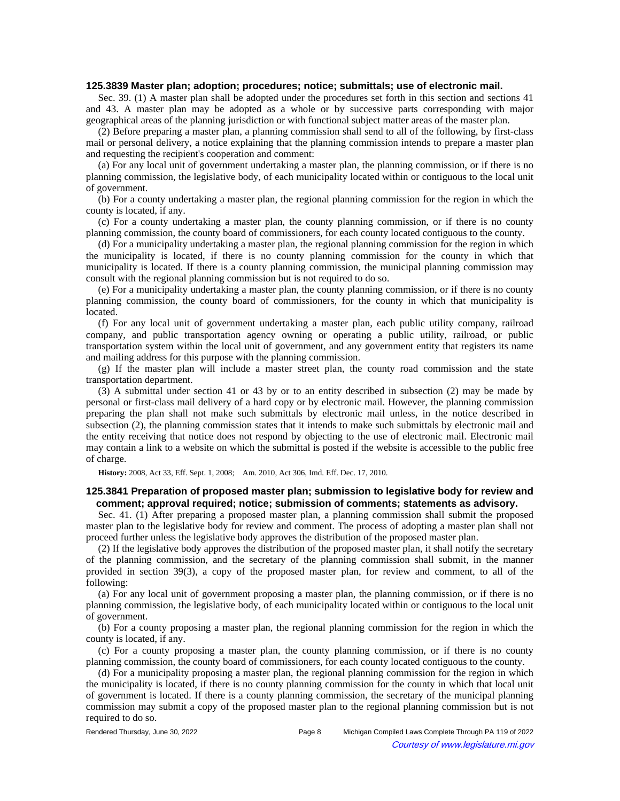#### **125.3839 Master plan; adoption; procedures; notice; submittals; use of electronic mail.**

Sec. 39. (1) A master plan shall be adopted under the procedures set forth in this section and sections 41 and 43. A master plan may be adopted as a whole or by successive parts corresponding with major geographical areas of the planning jurisdiction or with functional subject matter areas of the master plan.

(2) Before preparing a master plan, a planning commission shall send to all of the following, by first-class mail or personal delivery, a notice explaining that the planning commission intends to prepare a master plan and requesting the recipient's cooperation and comment:

(a) For any local unit of government undertaking a master plan, the planning commission, or if there is no planning commission, the legislative body, of each municipality located within or contiguous to the local unit of government.

(b) For a county undertaking a master plan, the regional planning commission for the region in which the county is located, if any.

(c) For a county undertaking a master plan, the county planning commission, or if there is no county planning commission, the county board of commissioners, for each county located contiguous to the county.

(d) For a municipality undertaking a master plan, the regional planning commission for the region in which the municipality is located, if there is no county planning commission for the county in which that municipality is located. If there is a county planning commission, the municipal planning commission may consult with the regional planning commission but is not required to do so.

(e) For a municipality undertaking a master plan, the county planning commission, or if there is no county planning commission, the county board of commissioners, for the county in which that municipality is located.

(f) For any local unit of government undertaking a master plan, each public utility company, railroad company, and public transportation agency owning or operating a public utility, railroad, or public transportation system within the local unit of government, and any government entity that registers its name and mailing address for this purpose with the planning commission.

(g) If the master plan will include a master street plan, the county road commission and the state transportation department.

(3) A submittal under section 41 or 43 by or to an entity described in subsection (2) may be made by personal or first-class mail delivery of a hard copy or by electronic mail. However, the planning commission preparing the plan shall not make such submittals by electronic mail unless, in the notice described in subsection (2), the planning commission states that it intends to make such submittals by electronic mail and the entity receiving that notice does not respond by objecting to the use of electronic mail. Electronic mail may contain a link to a website on which the submittal is posted if the website is accessible to the public free of charge.

**History:** 2008, Act 33, Eff. Sept. 1, 2008;—Am. 2010, Act 306, Imd. Eff. Dec. 17, 2010.

### **125.3841 Preparation of proposed master plan; submission to legislative body for review and comment; approval required; notice; submission of comments; statements as advisory.**

Sec. 41. (1) After preparing a proposed master plan, a planning commission shall submit the proposed master plan to the legislative body for review and comment. The process of adopting a master plan shall not proceed further unless the legislative body approves the distribution of the proposed master plan.

(2) If the legislative body approves the distribution of the proposed master plan, it shall notify the secretary of the planning commission, and the secretary of the planning commission shall submit, in the manner provided in section 39(3), a copy of the proposed master plan, for review and comment, to all of the following:

(a) For any local unit of government proposing a master plan, the planning commission, or if there is no planning commission, the legislative body, of each municipality located within or contiguous to the local unit of government.

(b) For a county proposing a master plan, the regional planning commission for the region in which the county is located, if any.

(c) For a county proposing a master plan, the county planning commission, or if there is no county planning commission, the county board of commissioners, for each county located contiguous to the county.

(d) For a municipality proposing a master plan, the regional planning commission for the region in which the municipality is located, if there is no county planning commission for the county in which that local unit of government is located. If there is a county planning commission, the secretary of the municipal planning commission may submit a copy of the proposed master plan to the regional planning commission but is not required to do so.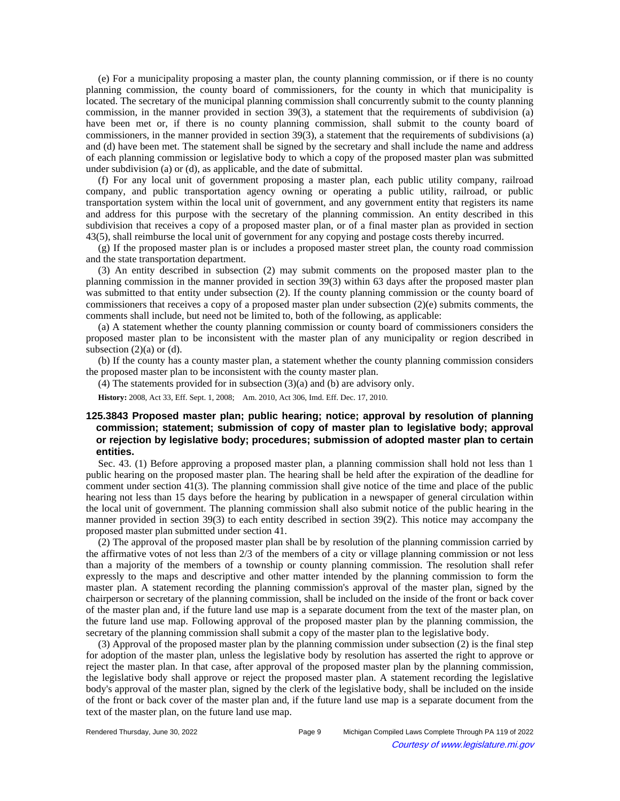(e) For a municipality proposing a master plan, the county planning commission, or if there is no county planning commission, the county board of commissioners, for the county in which that municipality is located. The secretary of the municipal planning commission shall concurrently submit to the county planning commission, in the manner provided in section 39(3), a statement that the requirements of subdivision (a) have been met or, if there is no county planning commission, shall submit to the county board of commissioners, in the manner provided in section 39(3), a statement that the requirements of subdivisions (a) and (d) have been met. The statement shall be signed by the secretary and shall include the name and address of each planning commission or legislative body to which a copy of the proposed master plan was submitted under subdivision (a) or (d), as applicable, and the date of submittal.

(f) For any local unit of government proposing a master plan, each public utility company, railroad company, and public transportation agency owning or operating a public utility, railroad, or public transportation system within the local unit of government, and any government entity that registers its name and address for this purpose with the secretary of the planning commission. An entity described in this subdivision that receives a copy of a proposed master plan, or of a final master plan as provided in section 43(5), shall reimburse the local unit of government for any copying and postage costs thereby incurred.

(g) If the proposed master plan is or includes a proposed master street plan, the county road commission and the state transportation department.

(3) An entity described in subsection (2) may submit comments on the proposed master plan to the planning commission in the manner provided in section 39(3) within 63 days after the proposed master plan was submitted to that entity under subsection (2). If the county planning commission or the county board of commissioners that receives a copy of a proposed master plan under subsection (2)(e) submits comments, the comments shall include, but need not be limited to, both of the following, as applicable:

(a) A statement whether the county planning commission or county board of commissioners considers the proposed master plan to be inconsistent with the master plan of any municipality or region described in subsection  $(2)(a)$  or  $(d)$ .

(b) If the county has a county master plan, a statement whether the county planning commission considers the proposed master plan to be inconsistent with the county master plan.

(4) The statements provided for in subsection (3)(a) and (b) are advisory only.

**History:** 2008, Act 33, Eff. Sept. 1, 2008;—Am. 2010, Act 306, Imd. Eff. Dec. 17, 2010.

# **125.3843 Proposed master plan; public hearing; notice; approval by resolution of planning commission; statement; submission of copy of master plan to legislative body; approval or rejection by legislative body; procedures; submission of adopted master plan to certain entities.**

Sec. 43. (1) Before approving a proposed master plan, a planning commission shall hold not less than 1 public hearing on the proposed master plan. The hearing shall be held after the expiration of the deadline for comment under section 41(3). The planning commission shall give notice of the time and place of the public hearing not less than 15 days before the hearing by publication in a newspaper of general circulation within the local unit of government. The planning commission shall also submit notice of the public hearing in the manner provided in section 39(3) to each entity described in section 39(2). This notice may accompany the proposed master plan submitted under section 41.

(2) The approval of the proposed master plan shall be by resolution of the planning commission carried by the affirmative votes of not less than 2/3 of the members of a city or village planning commission or not less than a majority of the members of a township or county planning commission. The resolution shall refer expressly to the maps and descriptive and other matter intended by the planning commission to form the master plan. A statement recording the planning commission's approval of the master plan, signed by the chairperson or secretary of the planning commission, shall be included on the inside of the front or back cover of the master plan and, if the future land use map is a separate document from the text of the master plan, on the future land use map. Following approval of the proposed master plan by the planning commission, the secretary of the planning commission shall submit a copy of the master plan to the legislative body.

(3) Approval of the proposed master plan by the planning commission under subsection (2) is the final step for adoption of the master plan, unless the legislative body by resolution has asserted the right to approve or reject the master plan. In that case, after approval of the proposed master plan by the planning commission, the legislative body shall approve or reject the proposed master plan. A statement recording the legislative body's approval of the master plan, signed by the clerk of the legislative body, shall be included on the inside of the front or back cover of the master plan and, if the future land use map is a separate document from the text of the master plan, on the future land use map.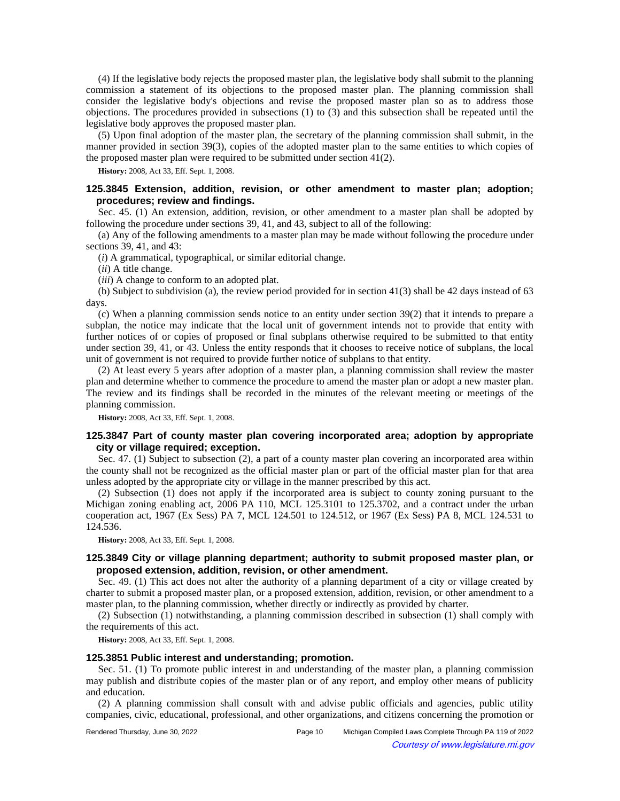(4) If the legislative body rejects the proposed master plan, the legislative body shall submit to the planning commission a statement of its objections to the proposed master plan. The planning commission shall consider the legislative body's objections and revise the proposed master plan so as to address those objections. The procedures provided in subsections (1) to (3) and this subsection shall be repeated until the legislative body approves the proposed master plan.

(5) Upon final adoption of the master plan, the secretary of the planning commission shall submit, in the manner provided in section 39(3), copies of the adopted master plan to the same entities to which copies of the proposed master plan were required to be submitted under section 41(2).

**History:** 2008, Act 33, Eff. Sept. 1, 2008.

## **125.3845 Extension, addition, revision, or other amendment to master plan; adoption; procedures; review and findings.**

Sec. 45. (1) An extension, addition, revision, or other amendment to a master plan shall be adopted by following the procedure under sections 39, 41, and 43, subject to all of the following:

(a) Any of the following amendments to a master plan may be made without following the procedure under sections 39, 41, and 43:

(*i*) A grammatical, typographical, or similar editorial change.

(*ii*) A title change.

(*iii*) A change to conform to an adopted plat.

(b) Subject to subdivision (a), the review period provided for in section 41(3) shall be 42 days instead of 63 days.

(c) When a planning commission sends notice to an entity under section 39(2) that it intends to prepare a subplan, the notice may indicate that the local unit of government intends not to provide that entity with further notices of or copies of proposed or final subplans otherwise required to be submitted to that entity under section 39, 41, or 43. Unless the entity responds that it chooses to receive notice of subplans, the local unit of government is not required to provide further notice of subplans to that entity.

(2) At least every 5 years after adoption of a master plan, a planning commission shall review the master plan and determine whether to commence the procedure to amend the master plan or adopt a new master plan. The review and its findings shall be recorded in the minutes of the relevant meeting or meetings of the planning commission.

**History:** 2008, Act 33, Eff. Sept. 1, 2008.

## **125.3847 Part of county master plan covering incorporated area; adoption by appropriate city or village required; exception.**

Sec. 47. (1) Subject to subsection (2), a part of a county master plan covering an incorporated area within the county shall not be recognized as the official master plan or part of the official master plan for that area unless adopted by the appropriate city or village in the manner prescribed by this act.

(2) Subsection (1) does not apply if the incorporated area is subject to county zoning pursuant to the Michigan zoning enabling act, 2006 PA 110, MCL 125.3101 to 125.3702, and a contract under the urban cooperation act, 1967 (Ex Sess) PA 7, MCL 124.501 to 124.512, or 1967 (Ex Sess) PA 8, MCL 124.531 to 124.536.

**History:** 2008, Act 33, Eff. Sept. 1, 2008.

### **125.3849 City or village planning department; authority to submit proposed master plan, or proposed extension, addition, revision, or other amendment.**

Sec. 49. (1) This act does not alter the authority of a planning department of a city or village created by charter to submit a proposed master plan, or a proposed extension, addition, revision, or other amendment to a master plan, to the planning commission, whether directly or indirectly as provided by charter.

(2) Subsection (1) notwithstanding, a planning commission described in subsection (1) shall comply with the requirements of this act.

**History:** 2008, Act 33, Eff. Sept. 1, 2008.

## **125.3851 Public interest and understanding; promotion.**

Sec. 51. (1) To promote public interest in and understanding of the master plan, a planning commission may publish and distribute copies of the master plan or of any report, and employ other means of publicity and education.

(2) A planning commission shall consult with and advise public officials and agencies, public utility companies, civic, educational, professional, and other organizations, and citizens concerning the promotion or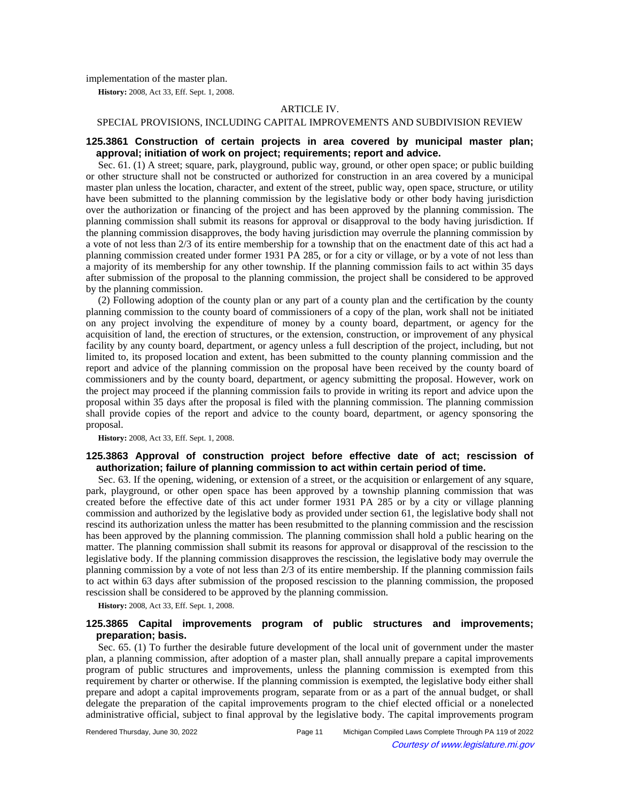implementation of the master plan.

**History:** 2008, Act 33, Eff. Sept. 1, 2008.

#### ARTICLE IV.

## SPECIAL PROVISIONS, INCLUDING CAPITAL IMPROVEMENTS AND SUBDIVISION REVIEW

## **125.3861 Construction of certain projects in area covered by municipal master plan; approval; initiation of work on project; requirements; report and advice.**

Sec. 61. (1) A street; square, park, playground, public way, ground, or other open space; or public building or other structure shall not be constructed or authorized for construction in an area covered by a municipal master plan unless the location, character, and extent of the street, public way, open space, structure, or utility have been submitted to the planning commission by the legislative body or other body having jurisdiction over the authorization or financing of the project and has been approved by the planning commission. The planning commission shall submit its reasons for approval or disapproval to the body having jurisdiction. If the planning commission disapproves, the body having jurisdiction may overrule the planning commission by a vote of not less than 2/3 of its entire membership for a township that on the enactment date of this act had a planning commission created under former 1931 PA 285, or for a city or village, or by a vote of not less than a majority of its membership for any other township. If the planning commission fails to act within 35 days after submission of the proposal to the planning commission, the project shall be considered to be approved by the planning commission.

(2) Following adoption of the county plan or any part of a county plan and the certification by the county planning commission to the county board of commissioners of a copy of the plan, work shall not be initiated on any project involving the expenditure of money by a county board, department, or agency for the acquisition of land, the erection of structures, or the extension, construction, or improvement of any physical facility by any county board, department, or agency unless a full description of the project, including, but not limited to, its proposed location and extent, has been submitted to the county planning commission and the report and advice of the planning commission on the proposal have been received by the county board of commissioners and by the county board, department, or agency submitting the proposal. However, work on the project may proceed if the planning commission fails to provide in writing its report and advice upon the proposal within 35 days after the proposal is filed with the planning commission. The planning commission shall provide copies of the report and advice to the county board, department, or agency sponsoring the proposal.

**History:** 2008, Act 33, Eff. Sept. 1, 2008.

## **125.3863 Approval of construction project before effective date of act; rescission of authorization; failure of planning commission to act within certain period of time.**

Sec. 63. If the opening, widening, or extension of a street, or the acquisition or enlargement of any square, park, playground, or other open space has been approved by a township planning commission that was created before the effective date of this act under former 1931 PA 285 or by a city or village planning commission and authorized by the legislative body as provided under section 61, the legislative body shall not rescind its authorization unless the matter has been resubmitted to the planning commission and the rescission has been approved by the planning commission. The planning commission shall hold a public hearing on the matter. The planning commission shall submit its reasons for approval or disapproval of the rescission to the legislative body. If the planning commission disapproves the rescission, the legislative body may overrule the planning commission by a vote of not less than 2/3 of its entire membership. If the planning commission fails to act within 63 days after submission of the proposed rescission to the planning commission, the proposed rescission shall be considered to be approved by the planning commission.

**History:** 2008, Act 33, Eff. Sept. 1, 2008.

## **125.3865 Capital improvements program of public structures and improvements; preparation; basis.**

Sec. 65. (1) To further the desirable future development of the local unit of government under the master plan, a planning commission, after adoption of a master plan, shall annually prepare a capital improvements program of public structures and improvements, unless the planning commission is exempted from this requirement by charter or otherwise. If the planning commission is exempted, the legislative body either shall prepare and adopt a capital improvements program, separate from or as a part of the annual budget, or shall delegate the preparation of the capital improvements program to the chief elected official or a nonelected administrative official, subject to final approval by the legislative body. The capital improvements program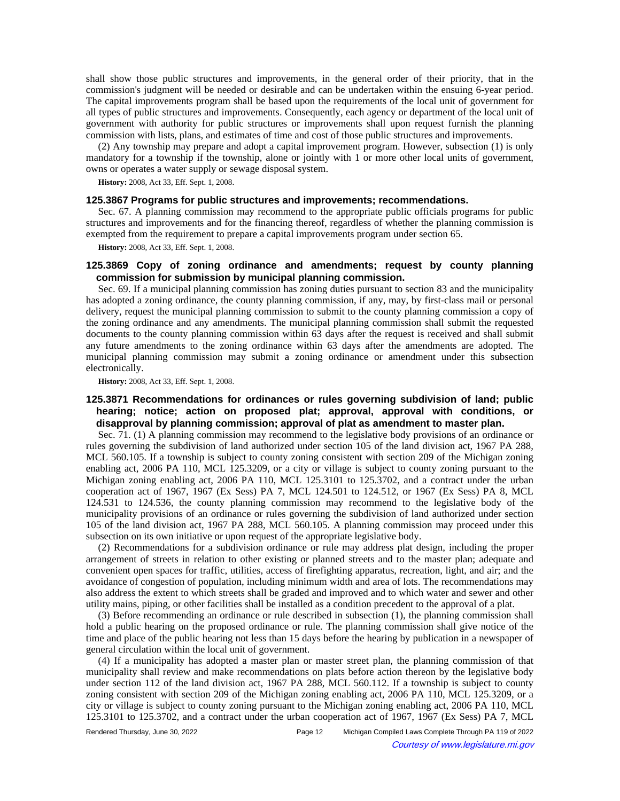shall show those public structures and improvements, in the general order of their priority, that in the commission's judgment will be needed or desirable and can be undertaken within the ensuing 6-year period. The capital improvements program shall be based upon the requirements of the local unit of government for all types of public structures and improvements. Consequently, each agency or department of the local unit of government with authority for public structures or improvements shall upon request furnish the planning commission with lists, plans, and estimates of time and cost of those public structures and improvements.

(2) Any township may prepare and adopt a capital improvement program. However, subsection (1) is only mandatory for a township if the township, alone or jointly with 1 or more other local units of government, owns or operates a water supply or sewage disposal system.

**History:** 2008, Act 33, Eff. Sept. 1, 2008.

### **125.3867 Programs for public structures and improvements; recommendations.**

Sec. 67. A planning commission may recommend to the appropriate public officials programs for public structures and improvements and for the financing thereof, regardless of whether the planning commission is exempted from the requirement to prepare a capital improvements program under section 65.

**History:** 2008, Act 33, Eff. Sept. 1, 2008.

## **125.3869 Copy of zoning ordinance and amendments; request by county planning commission for submission by municipal planning commission.**

Sec. 69. If a municipal planning commission has zoning duties pursuant to section 83 and the municipality has adopted a zoning ordinance, the county planning commission, if any, may, by first-class mail or personal delivery, request the municipal planning commission to submit to the county planning commission a copy of the zoning ordinance and any amendments. The municipal planning commission shall submit the requested documents to the county planning commission within 63 days after the request is received and shall submit any future amendments to the zoning ordinance within 63 days after the amendments are adopted. The municipal planning commission may submit a zoning ordinance or amendment under this subsection electronically.

**History:** 2008, Act 33, Eff. Sept. 1, 2008.

# **125.3871 Recommendations for ordinances or rules governing subdivision of land; public hearing; notice; action on proposed plat; approval, approval with conditions, or disapproval by planning commission; approval of plat as amendment to master plan.**

Sec. 71. (1) A planning commission may recommend to the legislative body provisions of an ordinance or rules governing the subdivision of land authorized under section 105 of the land division act, 1967 PA 288, MCL 560.105. If a township is subject to county zoning consistent with section 209 of the Michigan zoning enabling act, 2006 PA 110, MCL 125.3209, or a city or village is subject to county zoning pursuant to the Michigan zoning enabling act, 2006 PA 110, MCL 125.3101 to 125.3702, and a contract under the urban cooperation act of 1967, 1967 (Ex Sess) PA 7, MCL 124.501 to 124.512, or 1967 (Ex Sess) PA 8, MCL 124.531 to 124.536, the county planning commission may recommend to the legislative body of the municipality provisions of an ordinance or rules governing the subdivision of land authorized under section 105 of the land division act, 1967 PA 288, MCL 560.105. A planning commission may proceed under this subsection on its own initiative or upon request of the appropriate legislative body.

(2) Recommendations for a subdivision ordinance or rule may address plat design, including the proper arrangement of streets in relation to other existing or planned streets and to the master plan; adequate and convenient open spaces for traffic, utilities, access of firefighting apparatus, recreation, light, and air; and the avoidance of congestion of population, including minimum width and area of lots. The recommendations may also address the extent to which streets shall be graded and improved and to which water and sewer and other utility mains, piping, or other facilities shall be installed as a condition precedent to the approval of a plat.

(3) Before recommending an ordinance or rule described in subsection (1), the planning commission shall hold a public hearing on the proposed ordinance or rule. The planning commission shall give notice of the time and place of the public hearing not less than 15 days before the hearing by publication in a newspaper of general circulation within the local unit of government.

(4) If a municipality has adopted a master plan or master street plan, the planning commission of that municipality shall review and make recommendations on plats before action thereon by the legislative body under section 112 of the land division act, 1967 PA 288, MCL 560.112. If a township is subject to county zoning consistent with section 209 of the Michigan zoning enabling act, 2006 PA 110, MCL 125.3209, or a city or village is subject to county zoning pursuant to the Michigan zoning enabling act, 2006 PA 110, MCL 125.3101 to 125.3702, and a contract under the urban cooperation act of 1967, 1967 (Ex Sess) PA 7, MCL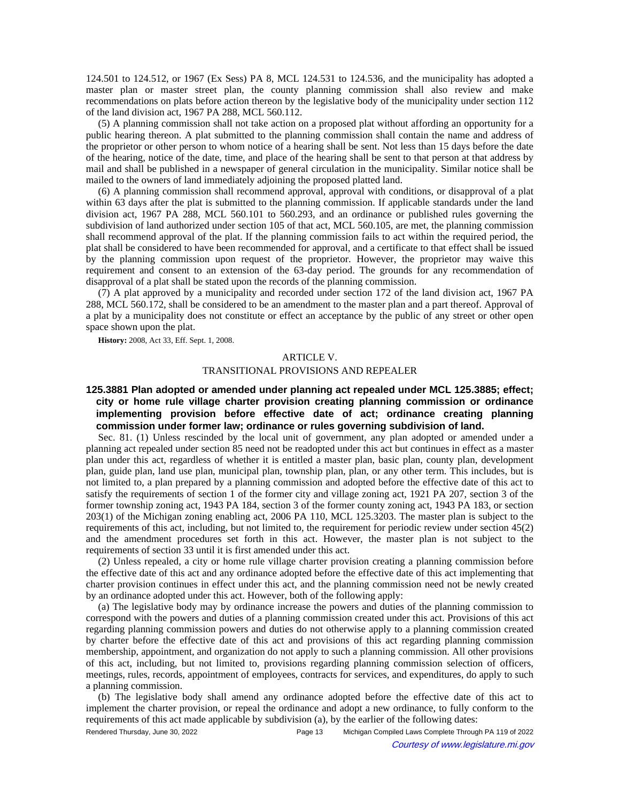124.501 to 124.512, or 1967 (Ex Sess) PA 8, MCL 124.531 to 124.536, and the municipality has adopted a master plan or master street plan, the county planning commission shall also review and make recommendations on plats before action thereon by the legislative body of the municipality under section 112 of the land division act, 1967 PA 288, MCL 560.112.

(5) A planning commission shall not take action on a proposed plat without affording an opportunity for a public hearing thereon. A plat submitted to the planning commission shall contain the name and address of the proprietor or other person to whom notice of a hearing shall be sent. Not less than 15 days before the date of the hearing, notice of the date, time, and place of the hearing shall be sent to that person at that address by mail and shall be published in a newspaper of general circulation in the municipality. Similar notice shall be mailed to the owners of land immediately adjoining the proposed platted land.

(6) A planning commission shall recommend approval, approval with conditions, or disapproval of a plat within 63 days after the plat is submitted to the planning commission. If applicable standards under the land division act, 1967 PA 288, MCL 560.101 to 560.293, and an ordinance or published rules governing the subdivision of land authorized under section 105 of that act, MCL 560.105, are met, the planning commission shall recommend approval of the plat. If the planning commission fails to act within the required period, the plat shall be considered to have been recommended for approval, and a certificate to that effect shall be issued by the planning commission upon request of the proprietor. However, the proprietor may waive this requirement and consent to an extension of the 63-day period. The grounds for any recommendation of disapproval of a plat shall be stated upon the records of the planning commission.

(7) A plat approved by a municipality and recorded under section 172 of the land division act, 1967 PA 288, MCL 560.172, shall be considered to be an amendment to the master plan and a part thereof. Approval of a plat by a municipality does not constitute or effect an acceptance by the public of any street or other open space shown upon the plat.

**History:** 2008, Act 33, Eff. Sept. 1, 2008.

#### ARTICLE V.

#### TRANSITIONAL PROVISIONS AND REPEALER

# **125.3881 Plan adopted or amended under planning act repealed under MCL 125.3885; effect; city or home rule village charter provision creating planning commission or ordinance implementing provision before effective date of act; ordinance creating planning commission under former law; ordinance or rules governing subdivision of land.**

Sec. 81. (1) Unless rescinded by the local unit of government, any plan adopted or amended under a planning act repealed under section 85 need not be readopted under this act but continues in effect as a master plan under this act, regardless of whether it is entitled a master plan, basic plan, county plan, development plan, guide plan, land use plan, municipal plan, township plan, plan, or any other term. This includes, but is not limited to, a plan prepared by a planning commission and adopted before the effective date of this act to satisfy the requirements of section 1 of the former city and village zoning act, 1921 PA 207, section 3 of the former township zoning act, 1943 PA 184, section 3 of the former county zoning act, 1943 PA 183, or section 203(1) of the Michigan zoning enabling act, 2006 PA 110, MCL 125.3203. The master plan is subject to the requirements of this act, including, but not limited to, the requirement for periodic review under section 45(2) and the amendment procedures set forth in this act. However, the master plan is not subject to the requirements of section 33 until it is first amended under this act.

(2) Unless repealed, a city or home rule village charter provision creating a planning commission before the effective date of this act and any ordinance adopted before the effective date of this act implementing that charter provision continues in effect under this act, and the planning commission need not be newly created by an ordinance adopted under this act. However, both of the following apply:

(a) The legislative body may by ordinance increase the powers and duties of the planning commission to correspond with the powers and duties of a planning commission created under this act. Provisions of this act regarding planning commission powers and duties do not otherwise apply to a planning commission created by charter before the effective date of this act and provisions of this act regarding planning commission membership, appointment, and organization do not apply to such a planning commission. All other provisions of this act, including, but not limited to, provisions regarding planning commission selection of officers, meetings, rules, records, appointment of employees, contracts for services, and expenditures, do apply to such a planning commission.

(b) The legislative body shall amend any ordinance adopted before the effective date of this act to implement the charter provision, or repeal the ordinance and adopt a new ordinance, to fully conform to the requirements of this act made applicable by subdivision (a), by the earlier of the following dates:

Rendered Thursday, June 30, 2022 Page 13 Michigan Compiled Laws Complete Through PA 119 of 2022 Courtesy of www.legislature.mi.gov